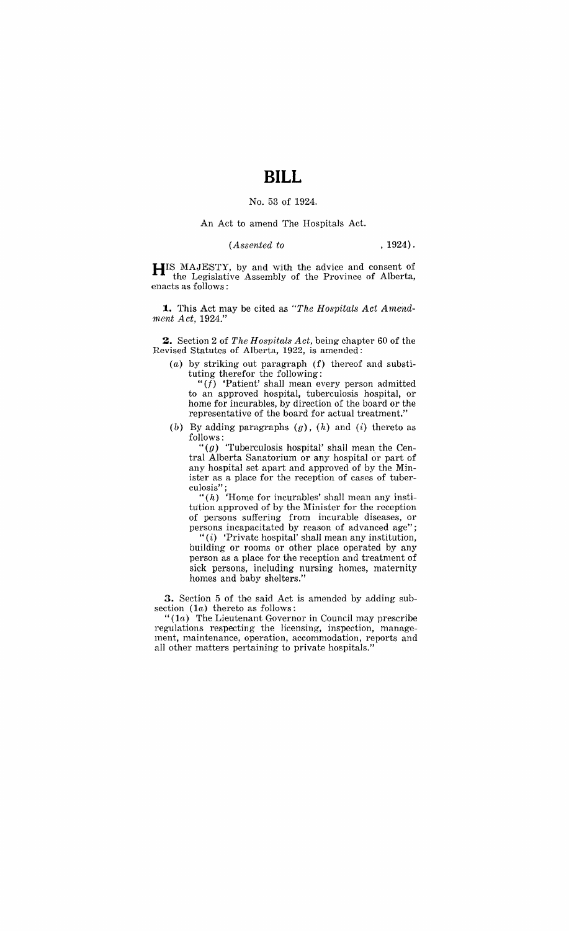### No. 53 of 1924.

#### An Act to amend The Hospitals Act.

*(Assented to* . 1924).

**HIS** MAJESTY, by and with the advice and consent of the Legislative Assembly of the Province of Alberta, enacts as follows:

**1.** This Act may be cited as *"The Hospitals Act Amendnwnt Act, 1924."* 

**2.** Section 2 of *The Hospitals Act*, being chapter 60 of the Revised Statutes of Alberta, 1922, is amended:

 $(a)$  by striking out paragraph  $(f)$  thereof and substituting therefor the following:

"(f) 'Patient' shall mean every person admitted to an approved hospital, tuberculosis hospital, or home for incurables, by direction of the board or the representative of the board for actual treatment."

(b) By adding paragraphs  $(g)$ ,  $(h)$  and  $(i)$  thereto as follows:

*"(g)* 'Tuberculosis hospital' shall mean the Central Alberta Sanatorium or any hospital or part of any hospital set apart and approved of by the Minister as a place for the reception of cases of tuber- $\mathrm{culosis}$  "

 $"(h)$  'Home for incurables' shall mean any institution approved of by the Minister for the reception of persons suffering from incurable diseases, or persons incapacitated by reason of advanced age";

" $(i)$  'Private hospital' shall mean any institution, building or rooms or other place operated by any person as a place for the reception and treatment of sick persons, including nursing homes, maternity homes and baby shelters."

**3.** Section 5 of the said Act is amended by adding subsection  $(1a)$  thereto as follows:

" $(1a)$  The Lieutenant Governor in Council may prescribe regulations respecting the licensing, inspection, management, maintenance, operation, accommodation, reports and all other matters pertaining to private hospitals."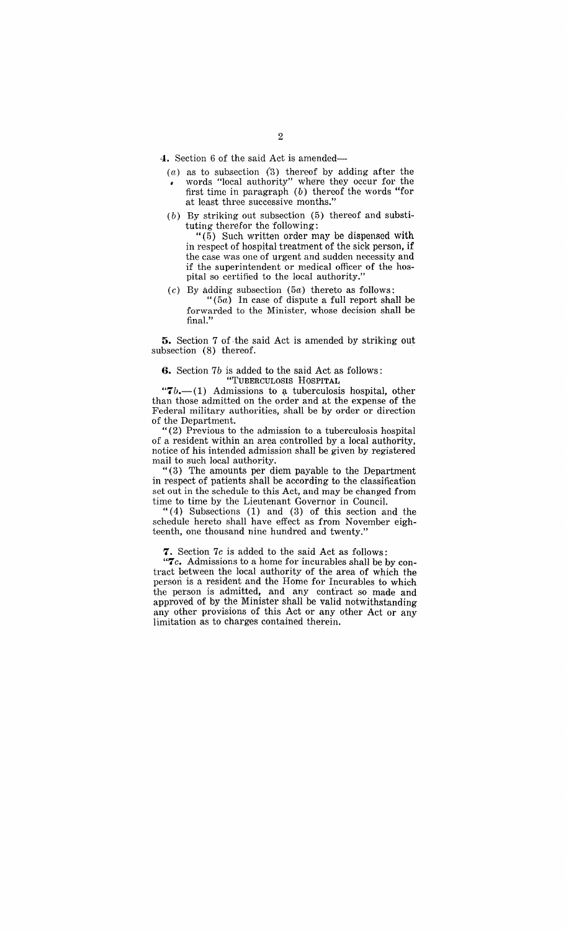4. Section 6 of the said Act is amended-

- $(a)$  as to subsection  $(3)$  thereof by adding after the words "local authority" where they occur for the first time in paragraph  $(b)$  thereof the words "for at least three successive months."
- $(b)$  By striking out subsection  $(5)$  thereof and substituting therefor the following:

 $(5)$  Such written order may be dispensed with in respect of hospital treatment of the sick person, if the case was one of urgent and sudden necessity and if the superintendent or medical officer of the hospital so certified to the local authority."

- ( $c$ ) By adding subsection (5 $a$ ) thereto as follows:
	- $(5a)$  In case of dispute a full report shall be forwarded to the Minister, whose decision shall be final."

5. Section 7 of· the said Act is amended by striking out subsection (8) thereof.

#### 6. Section 7b is added to the said Act as follows: "TUBERCULOSIS HOSPITAL.

" $7b$ .-(1) Admissions to a tuberculosis hospital, other than those admitted on the order and at the expense of the Federal military authorities, shall be by order or direction of the Department.

"(2) Previous to the admission to a tuberculosis hospital of a resident within an area controlled by a local authority, notice of his intended admission shall be given by registered mail to such local authority.

" (3) The amounts per diem payable to the Department in respect of patients shall be according to the classification set out in the schedule to this Act, and may be changed from time to time by the Lieutenant Governor in Council.

" $(4)$  Subsections  $(1)$  and  $(3)$  of this section and the schedule hereto shall have effect as from November eighteenth, one thousand nine hundred and twenty."

7. Section 7c is added to the said Act as follows:

*"7 c.* Admissions to a home for incurables shall be by contract between the local authority of the area of which the person is a resident and the Home for Incurables to which the person is admitted, and any contract so made and approved of by the Minister shall be valid notwithstanding any other provisions of this Act or any other Act or any limitation as to charges contained therein.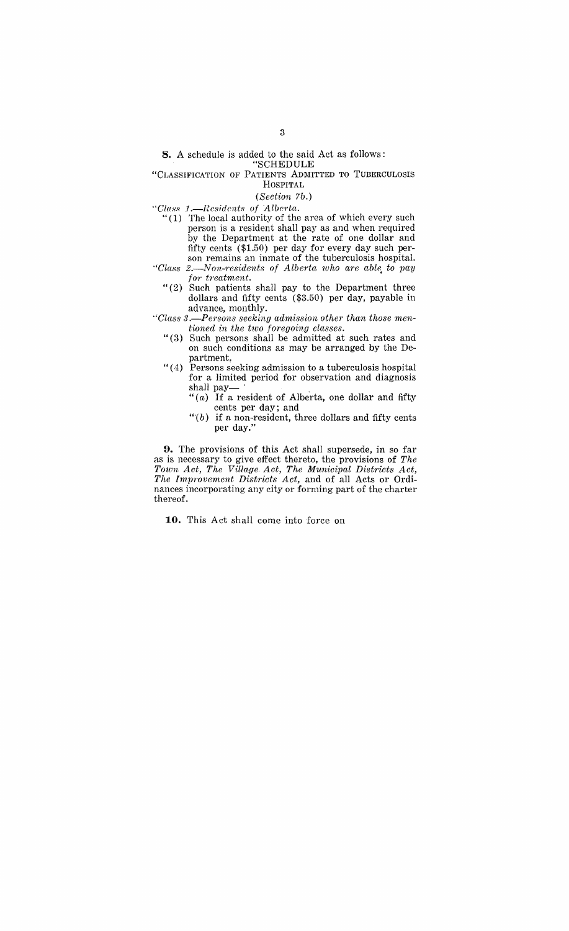"CLASSIFICATION OF PATIENTS ADMITTED TO TUBERCULOSIS

HOSPITAL

## *(Section 7b.)*

- *"Cl((ss .I.-Residents of Alberta.* 
	- " (1) The local authority of the area of which every such person is a resident shall pay as and when required by the Department at the rate of one dollar and fifty cents (\$1.50) per day for every day such person remains an inmate of the tuberculosis hospital.
- *"Class 2.-Non-residents of Alberta who are able, to pay for treatment.* 
	- "(2) Such patients shall pay to the Department three dollars and fifty cents (\$3.50) per day, payable in advance, monthly.
- *"Class* 3 *.-Persons seeking admission other than those mentioned in the two foregoing classes.* 
	- "( 3) Such persons shall be admitted at such rates and on such conditions as may be arranged by the Department,
	- "( 4) Persons seeking admission to a tuberculosis hospital for a limited period for observation and diagnosis shall pay-
		- " $(a)$  If a resident of Alberta, one dollar and fifty cents per day; and
		- " $(b)$  if a non-resident, three dollars and fifty cents per day."

**9.** The provisions of this Act shall supersede, in so far as is necessary to give effect thereto, the provisions of *The Town Act, The Village, Act, The Municipal Districts Act, The Improvement Districts Act,* and of all Acts or Ordinances incorporating any city or forming part of the charter thereof.

**10.** This Act shall come into force on